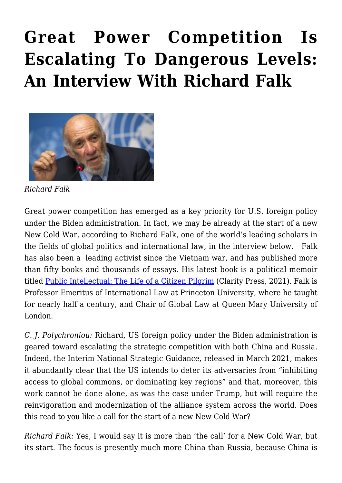## **[Great Power Competition Is](https://rozenbergquarterly.com/great-power-competition-is-escalating-to-dangerous-levels-an-interview-with-richard-falk/) [Escalating To Dangerous Levels:](https://rozenbergquarterly.com/great-power-competition-is-escalating-to-dangerous-levels-an-interview-with-richard-falk/) [An Interview With Richard Falk](https://rozenbergquarterly.com/great-power-competition-is-escalating-to-dangerous-levels-an-interview-with-richard-falk/)**



*Richard Falk*

Great power competition has emerged as a key priority for U.S. foreign policy under the Biden administration. In fact, we may be already at the start of a new New Cold War, according to Richard Falk, one of the world's leading scholars in the fields of global politics and international law, in the interview below. Falk has also been a leading activist since the Vietnam war, and has published more than fifty books and thousands of essays. His latest book is a political memoir titled [Public Intellectual: The Life of a Citizen Pilgrim](https://www.claritypress.com/product/public-intellectual-the-life-of-a-citizen-pilgrim/) (Clarity Press, 2021). Falk is Professor Emeritus of International Law at Princeton University, where he taught for nearly half a century, and Chair of Global Law at Queen Mary University of London.

*C. J. Polychroniou:* Richard, US foreign policy under the Biden administration is geared toward escalating the strategic competition with both China and Russia. Indeed, the Interim National Strategic Guidance, released in March 2021, makes it abundantly clear that the US intends to deter its adversaries from "inhibiting access to global commons, or dominating key regions" and that, moreover, this work cannot be done alone, as was the case under Trump, but will require the reinvigoration and modernization of the alliance system across the world. Does this read to you like a call for the start of a new New Cold War?

*Richard Falk:* Yes, I would say it is more than 'the call' for a New Cold War, but its start. The focus is presently much more China than Russia, because China is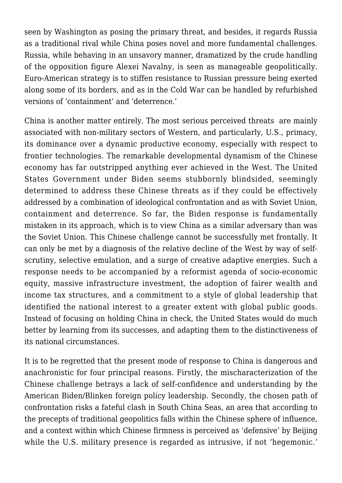seen by Washington as posing the primary threat, and besides, it regards Russia as a traditional rival while China poses novel and more fundamental challenges. Russia, while behaving in an unsavory manner, dramatized by the crude handling of the opposition figure Alexei Navalny, is seen as manageable geopolitically. Euro-American strategy is to stiffen resistance to Russian pressure being exerted along some of its borders, and as in the Cold War can be handled by refurbished versions of 'containment' and 'deterrence.'

China is another matter entirely. The most serious perceived threats are mainly associated with non-military sectors of Western, and particularly, U.S., primacy, its dominance over a dynamic productive economy, especially with respect to frontier technologies. The remarkable developmental dynamism of the Chinese economy has far outstripped anything ever achieved in the West. The United States Government under Biden seems stubbornly blindsided, seemingly determined to address these Chinese threats as if they could be effectively addressed by a combination of ideological confrontation and as with Soviet Union, containment and deterrence. So far, the Biden response is fundamentally mistaken in its approach, which is to view China as a similar adversary than was the Soviet Union. This Chinese challenge cannot be successfully met frontally. It can only be met by a diagnosis of the relative decline of the West by way of selfscrutiny, selective emulation, and a surge of creative adaptive energies. Such a response needs to be accompanied by a reformist agenda of socio-economic equity, massive infrastructure investment, the adoption of fairer wealth and income tax structures, and a commitment to a style of global leadership that identified the national interest to a greater extent with global public goods. Instead of focusing on holding China in check, the United States would do much better by learning from its successes, and adapting them to the distinctiveness of its national circumstances.

It is to be regretted that the present mode of response to China is dangerous and anachronistic for four principal reasons. Firstly, the mischaracterization of the Chinese challenge betrays a lack of self-confidence and understanding by the American Biden/Blinken foreign policy leadership. Secondly, the chosen path of confrontation risks a fateful clash in South China Seas, an area that according to the precepts of traditional geopolitics falls within the Chinese sphere of influence, and a context within which Chinese firmness is perceived as 'defensive' by Beijing while the U.S. military presence is regarded as intrusive, if not 'hegemonic.'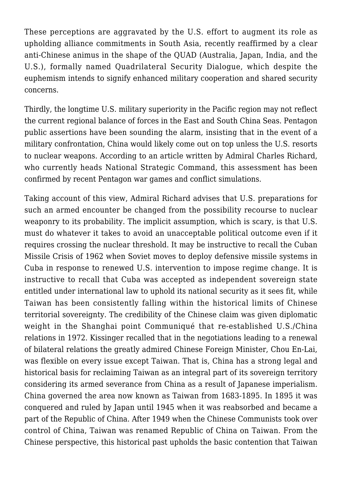These perceptions are aggravated by the U.S. effort to augment its role as upholding alliance commitments in South Asia, recently reaffirmed by a clear anti-Chinese animus in the shape of the QUAD (Australia, Japan, India, and the U.S.), formally named Quadrilateral Security Dialogue, which despite the euphemism intends to signify enhanced military cooperation and shared security concerns.

Thirdly, the longtime U.S. military superiority in the Pacific region may not reflect the current regional balance of forces in the East and South China Seas. Pentagon public assertions have been sounding the alarm, insisting that in the event of a military confrontation, China would likely come out on top unless the U.S. resorts to nuclear weapons. According to an article written by Admiral Charles Richard, who currently heads National Strategic Command, this assessment has been confirmed by recent Pentagon war games and conflict simulations.

Taking account of this view, Admiral Richard advises that U.S. preparations for such an armed encounter be changed from the possibility recourse to nuclear weaponry to its probability. The implicit assumption, which is scary, is that U.S. must do whatever it takes to avoid an unacceptable political outcome even if it requires crossing the nuclear threshold. It may be instructive to recall the Cuban Missile Crisis of 1962 when Soviet moves to deploy defensive missile systems in Cuba in response to renewed U.S. intervention to impose regime change. It is instructive to recall that Cuba was accepted as independent sovereign state entitled under international law to uphold its national security as it sees fit, while Taiwan has been consistently falling within the historical limits of Chinese territorial sovereignty. The credibility of the Chinese claim was given diplomatic weight in the Shanghai point Communiqué that re-established U.S./China relations in 1972. Kissinger recalled that in the negotiations leading to a renewal of bilateral relations the greatly admired Chinese Foreign Minister, Chou En-Lai, was flexible on every issue except Taiwan. That is, China has a strong legal and historical basis for reclaiming Taiwan as an integral part of its sovereign territory considering its armed severance from China as a result of Japanese imperialism. China governed the area now known as Taiwan from 1683-1895. In 1895 it was conquered and ruled by Japan until 1945 when it was reabsorbed and became a part of the Republic of China. After 1949 when the Chinese Communists took over control of China, Taiwan was renamed Republic of China on Taiwan. From the Chinese perspective, this historical past upholds the basic contention that Taiwan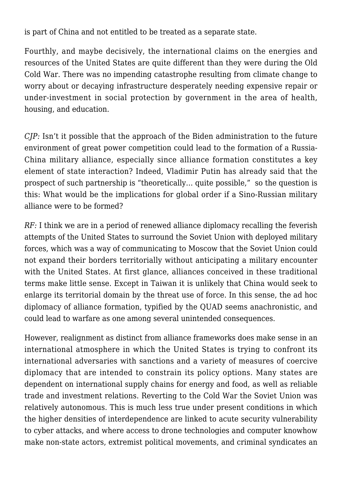is part of China and not entitled to be treated as a separate state.

Fourthly, and maybe decisively, the international claims on the energies and resources of the United States are quite different than they were during the Old Cold War. There was no impending catastrophe resulting from climate change to worry about or decaying infrastructure desperately needing expensive repair or under-investment in social protection by government in the area of health, housing, and education.

*CJP:* Isn't it possible that the approach of the Biden administration to the future environment of great power competition could lead to the formation of a Russia-China military alliance, especially since alliance formation constitutes a key element of state interaction? Indeed, Vladimir Putin has already said that the prospect of such partnership is "theoretically… quite possible," so the question is this: What would be the implications for global order if a Sino-Russian military alliance were to be formed?

*RF:* I think we are in a period of renewed alliance diplomacy recalling the feverish attempts of the United States to surround the Soviet Union with deployed military forces, which was a way of communicating to Moscow that the Soviet Union could not expand their borders territorially without anticipating a military encounter with the United States. At first glance, alliances conceived in these traditional terms make little sense. Except in Taiwan it is unlikely that China would seek to enlarge its territorial domain by the threat use of force. In this sense, the ad hoc diplomacy of alliance formation, typified by the QUAD seems anachronistic, and could lead to warfare as one among several unintended consequences.

However, realignment as distinct from alliance frameworks does make sense in an international atmosphere in which the United States is trying to confront its international adversaries with sanctions and a variety of measures of coercive diplomacy that are intended to constrain its policy options. Many states are dependent on international supply chains for energy and food, as well as reliable trade and investment relations. Reverting to the Cold War the Soviet Union was relatively autonomous. This is much less true under present conditions in which the higher densities of interdependence are linked to acute security vulnerability to cyber attacks, and where access to drone technologies and computer knowhow make non-state actors, extremist political movements, and criminal syndicates an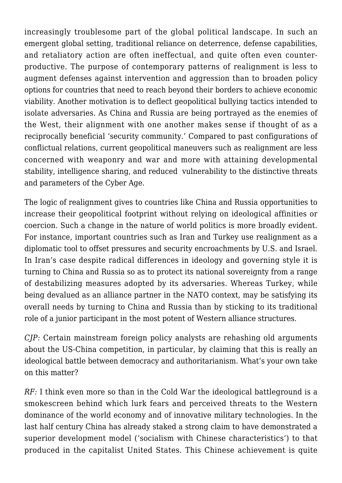increasingly troublesome part of the global political landscape. In such an emergent global setting, traditional reliance on deterrence, defense capabilities, and retaliatory action are often ineffectual, and quite often even counterproductive. The purpose of contemporary patterns of realignment is less to augment defenses against intervention and aggression than to broaden policy options for countries that need to reach beyond their borders to achieve economic viability. Another motivation is to deflect geopolitical bullying tactics intended to isolate adversaries. As China and Russia are being portrayed as the enemies of the West, their alignment with one another makes sense if thought of as a reciprocally beneficial 'security community.' Compared to past configurations of conflictual relations, current geopolitical maneuvers such as realignment are less concerned with weaponry and war and more with attaining developmental stability, intelligence sharing, and reduced vulnerability to the distinctive threats and parameters of the Cyber Age.

The logic of realignment gives to countries like China and Russia opportunities to increase their geopolitical footprint without relying on ideological affinities or coercion. Such a change in the nature of world politics is more broadly evident. For instance, important countries such as Iran and Turkey use realignment as a diplomatic tool to offset pressures and security encroachments by U.S. and Israel. In Iran's case despite radical differences in ideology and governing style it is turning to China and Russia so as to protect its national sovereignty from a range of destabilizing measures adopted by its adversaries. Whereas Turkey, while being devalued as an alliance partner in the NATO context, may be satisfying its overall needs by turning to China and Russia than by sticking to its traditional role of a junior participant in the most potent of Western alliance structures.

*CJP:* Certain mainstream foreign policy analysts are rehashing old arguments about the US-China competition, in particular, by claiming that this is really an ideological battle between democracy and authoritarianism. What's your own take on this matter?

*RF:* I think even more so than in the Cold War the ideological battleground is a smokescreen behind which lurk fears and perceived threats to the Western dominance of the world economy and of innovative military technologies. In the last half century China has already staked a strong claim to have demonstrated a superior development model ('socialism with Chinese characteristics') to that produced in the capitalist United States. This Chinese achievement is quite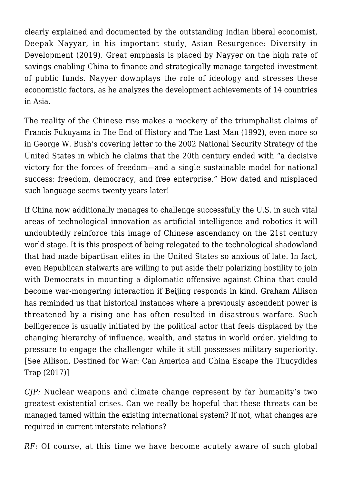clearly explained and documented by the outstanding Indian liberal economist, Deepak Nayyar, in his important study, Asian Resurgence: Diversity in Development (2019). Great emphasis is placed by Nayyer on the high rate of savings enabling China to finance and strategically manage targeted investment of public funds. Nayyer downplays the role of ideology and stresses these economistic factors, as he analyzes the development achievements of 14 countries in Asia.

The reality of the Chinese rise makes a mockery of the triumphalist claims of Francis Fukuyama in The End of History and The Last Man (1992), even more so in George W. Bush's covering letter to the 2002 National Security Strategy of the United States in which he claims that the 20th century ended with "a decisive victory for the forces of freedom—and a single sustainable model for national success: freedom, democracy, and free enterprise." How dated and misplaced such language seems twenty years later!

If China now additionally manages to challenge successfully the U.S. in such vital areas of technological innovation as artificial intelligence and robotics it will undoubtedly reinforce this image of Chinese ascendancy on the 21st century world stage. It is this prospect of being relegated to the technological shadowland that had made bipartisan elites in the United States so anxious of late. In fact, even Republican stalwarts are willing to put aside their polarizing hostility to join with Democrats in mounting a diplomatic offensive against China that could become war-mongering interaction if Beijing responds in kind. Graham Allison has reminded us that historical instances where a previously ascendent power is threatened by a rising one has often resulted in disastrous warfare. Such belligerence is usually initiated by the political actor that feels displaced by the changing hierarchy of influence, wealth, and status in world order, yielding to pressure to engage the challenger while it still possesses military superiority. [See Allison, Destined for War: Can America and China Escape the Thucydides Trap (2017)]

*CJP:* Nuclear weapons and climate change represent by far humanity's two greatest existential crises. Can we really be hopeful that these threats can be managed tamed within the existing international system? If not, what changes are required in current interstate relations?

*RF:* Of course, at this time we have become acutely aware of such global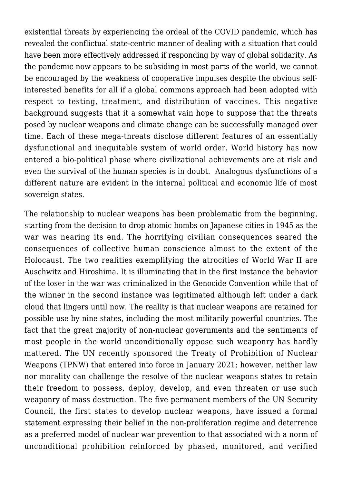existential threats by experiencing the ordeal of the COVID pandemic, which has revealed the conflictual state-centric manner of dealing with a situation that could have been more effectively addressed if responding by way of global solidarity. As the pandemic now appears to be subsiding in most parts of the world, we cannot be encouraged by the weakness of cooperative impulses despite the obvious selfinterested benefits for all if a global commons approach had been adopted with respect to testing, treatment, and distribution of vaccines. This negative background suggests that it a somewhat vain hope to suppose that the threats posed by nuclear weapons and climate change can be successfully managed over time. Each of these mega-threats disclose different features of an essentially dysfunctional and inequitable system of world order. World history has now entered a bio-political phase where civilizational achievements are at risk and even the survival of the human species is in doubt. Analogous dysfunctions of a different nature are evident in the internal political and economic life of most sovereign states.

The relationship to nuclear weapons has been problematic from the beginning, starting from the decision to drop atomic bombs on Japanese cities in 1945 as the war was nearing its end. The horrifying civilian consequences seared the consequences of collective human conscience almost to the extent of the Holocaust. The two realities exemplifying the atrocities of World War II are Auschwitz and Hiroshima. It is illuminating that in the first instance the behavior of the loser in the war was criminalized in the Genocide Convention while that of the winner in the second instance was legitimated although left under a dark cloud that lingers until now. The reality is that nuclear weapons are retained for possible use by nine states, including the most militarily powerful countries. The fact that the great majority of non-nuclear governments and the sentiments of most people in the world unconditionally oppose such weaponry has hardly mattered. The UN recently sponsored the Treaty of Prohibition of Nuclear Weapons (TPNW) that entered into force in January 2021; however, neither law nor morality can challenge the resolve of the nuclear weapons states to retain their freedom to possess, deploy, develop, and even threaten or use such weaponry of mass destruction. The five permanent members of the UN Security Council, the first states to develop nuclear weapons, have issued a formal statement expressing their belief in the non-proliferation regime and deterrence as a preferred model of nuclear war prevention to that associated with a norm of unconditional prohibition reinforced by phased, monitored, and verified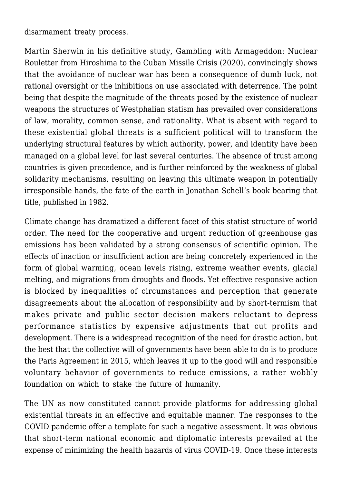disarmament treaty process.

Martin Sherwin in his definitive study, Gambling with Armageddon: Nuclear Rouletter from Hiroshima to the Cuban Missile Crisis (2020), convincingly shows that the avoidance of nuclear war has been a consequence of dumb luck, not rational oversight or the inhibitions on use associated with deterrence. The point being that despite the magnitude of the threats posed by the existence of nuclear weapons the structures of Westphalian statism has prevailed over considerations of law, morality, common sense, and rationality. What is absent with regard to these existential global threats is a sufficient political will to transform the underlying structural features by which authority, power, and identity have been managed on a global level for last several centuries. The absence of trust among countries is given precedence, and is further reinforced by the weakness of global solidarity mechanisms, resulting on leaving this ultimate weapon in potentially irresponsible hands, the fate of the earth in Jonathan Schell's book bearing that title, published in 1982.

Climate change has dramatized a different facet of this statist structure of world order. The need for the cooperative and urgent reduction of greenhouse gas emissions has been validated by a strong consensus of scientific opinion. The effects of inaction or insufficient action are being concretely experienced in the form of global warming, ocean levels rising, extreme weather events, glacial melting, and migrations from droughts and floods. Yet effective responsive action is blocked by inequalities of circumstances and perception that generate disagreements about the allocation of responsibility and by short-termism that makes private and public sector decision makers reluctant to depress performance statistics by expensive adjustments that cut profits and development. There is a widespread recognition of the need for drastic action, but the best that the collective will of governments have been able to do is to produce the Paris Agreement in 2015, which leaves it up to the good will and responsible voluntary behavior of governments to reduce emissions, a rather wobbly foundation on which to stake the future of humanity.

The UN as now constituted cannot provide platforms for addressing global existential threats in an effective and equitable manner. The responses to the COVID pandemic offer a template for such a negative assessment. It was obvious that short-term national economic and diplomatic interests prevailed at the expense of minimizing the health hazards of virus COVID-19. Once these interests